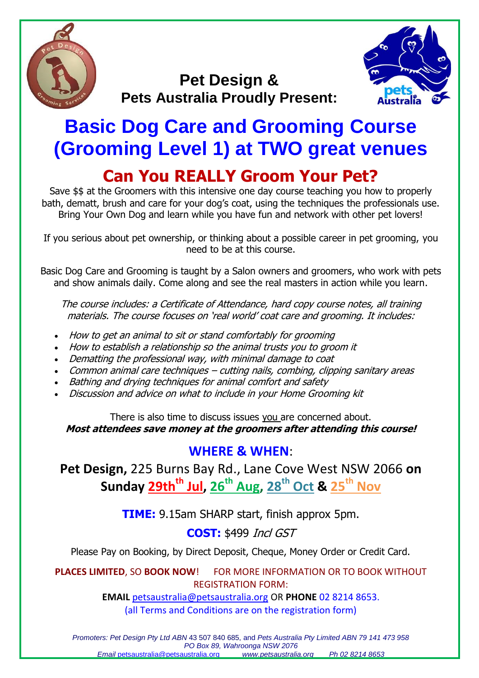

## **Pet Design & Pets Australia Proudly Present:**



# **Basic Dog Care and Grooming Course (Grooming Level 1) at TWO great venues Can You REALLY Groom Your Pet?**

Save \$\$ at the Groomers with this intensive one day course teaching you how to properly bath, dematt, brush and care for your dog's coat, using the techniques the professionals use. Bring Your Own Dog and learn while you have fun and network with other pet lovers!

If you serious about pet ownership, or thinking about a possible career in pet grooming, you need to be at this course.

Basic Dog Care and Grooming is taught by a Salon owners and groomers, who work with pets and show animals daily. Come along and see the real masters in action while you learn.

The course includes: a Certificate of Attendance, hard copy course notes, all training materials. The course focuses on 'real world' coat care and grooming. It includes:

- How to get an animal to sit or stand comfortably for grooming
- How to establish a relationship so the animal trusts you to groom it
- Dematting the professional way, with minimal damage to coat
- Common animal care techniques cutting nails, combing, clipping sanitary areas
- Bathing and drying techniques for animal comfort and safety
- Discussion and advice on what to include in your Home Grooming kit

There is also time to discuss issues you are concerned about. **Most attendees save money at the groomers after attending this course!**

## **WHERE & WHEN**:

**Pet Design,** 225 Burns Bay Rd., Lane Cove West NSW 2066 **on Sunday 29thth Jul, 26 th Aug, 28 th Oct & 25th Nov**

**TIME:** 9.15am SHARP start, finish approx 5pm.

### **COST:** \$499 Incl GST

Please Pay on Booking, by Direct Deposit, Cheque, Money Order or Credit Card.

**PLACES LIMITED**, SO **BOOK NOW**! FOR MORE INFORMATION OR TO BOOK WITHOUT REGISTRATION FORM:

> **EMAIL** [petsaustralia@petsaustralia.org](mailto:petsaustralia@petsaustralia.org) OR **PHONE** 02 8214 8653. (all Terms and Conditions are on the registration form)

*Promoters: Pet Design Pty Ltd ABN* 43 507 840 685, and *Pets Australia Pty Limited ABN 79 141 473 958 PO Box 89, Wahroonga NSW 2076 Email* [petsaustralia@petsaustralia.org](mailto:petsaustralia@petsaustralia.org) *www.petsaustralia.org Ph 02 8214 8653*